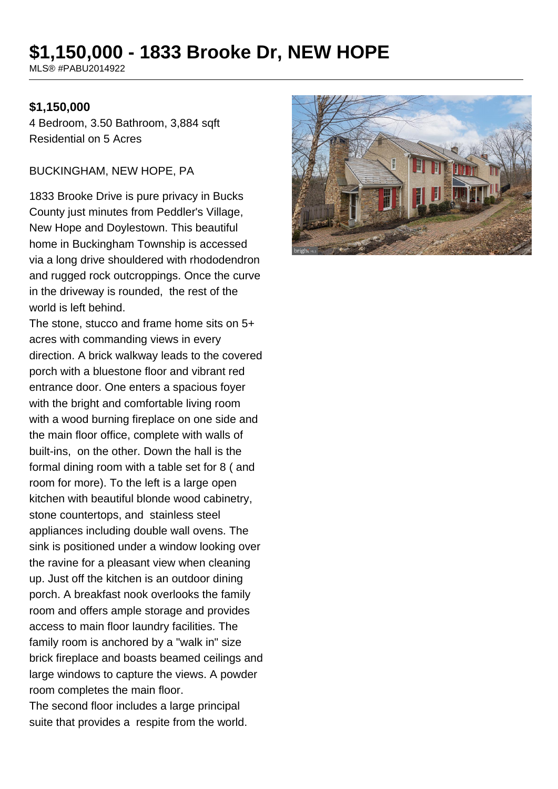# **\$1,150,000 - 1833 Brooke Dr, NEW HOPE**

MLS® #PABU2014922

#### **\$1,150,000**

4 Bedroom, 3.50 Bathroom, 3,884 sqft Residential on 5 Acres

BUCKINGHAM, NEW HOPE, PA

1833 Brooke Drive is pure privacy in Bucks County just minutes from Peddler's Village, New Hope and Doylestown. This beautiful home in Buckingham Township is accessed via a long drive shouldered with rhododendron and rugged rock outcroppings. Once the curve in the driveway is rounded, the rest of the world is left behind.

The stone, stucco and frame home sits on 5+ acres with commanding views in every direction. A brick walkway leads to the covered porch with a bluestone floor and vibrant red entrance door. One enters a spacious foyer with the bright and comfortable living room with a wood burning fireplace on one side and the main floor office, complete with walls of built-ins, on the other. Down the hall is the formal dining room with a table set for 8 ( and room for more). To the left is a large open kitchen with beautiful blonde wood cabinetry, stone countertops, and stainless steel appliances including double wall ovens. The sink is positioned under a window looking over the ravine for a pleasant view when cleaning up. Just off the kitchen is an outdoor dining porch. A breakfast nook overlooks the family room and offers ample storage and provides access to main floor laundry facilities. The family room is anchored by a "walk in" size brick fireplace and boasts beamed ceilings and large windows to capture the views. A powder room completes the main floor.

The second floor includes a large principal suite that provides a respite from the world.

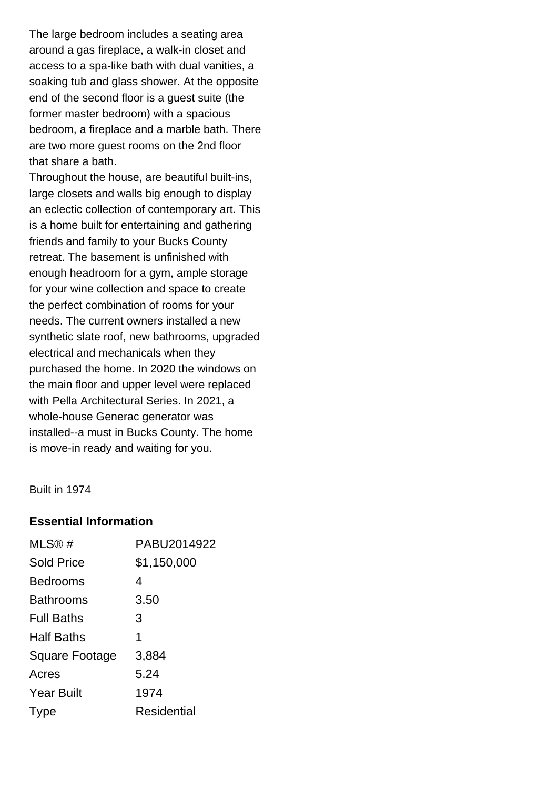The large bedroom includes a seating area around a gas fireplace, a walk-in closet and access to a spa-like bath with dual vanities, a soaking tub and glass shower. At the opposite end of the second floor is a guest suite (the former master bedroom) with a spacious bedroom, a fireplace and a marble bath. There are two more guest rooms on the 2nd floor that share a bath.

Throughout the house, are beautiful built-ins, large closets and walls big enough to display an eclectic collection of contemporary art. This is a home built for entertaining and gathering friends and family to your Bucks County retreat. The basement is unfinished with enough headroom for a gym, ample storage for your wine collection and space to create the perfect combination of rooms for your needs. The current owners installed a new synthetic slate roof, new bathrooms, upgraded electrical and mechanicals when they purchased the home. In 2020 the windows on the main floor and upper level were replaced with Pella Architectural Series. In 2021, a whole-house Generac generator was installed--a must in Bucks County. The home is move-in ready and waiting for you.

Built in 1974

#### **Essential Information**

| MLS@#             | PABU2014922 |
|-------------------|-------------|
| <b>Sold Price</b> | \$1,150,000 |
| <b>Bedrooms</b>   | 4           |
| <b>Bathrooms</b>  | 3.50        |
| <b>Full Baths</b> | 3           |
| <b>Half Baths</b> | 1           |
| Square Footage    | 3,884       |
| Acres             | 5.24        |
| <b>Year Built</b> | 1974        |
| <b>I</b> ype      | Residential |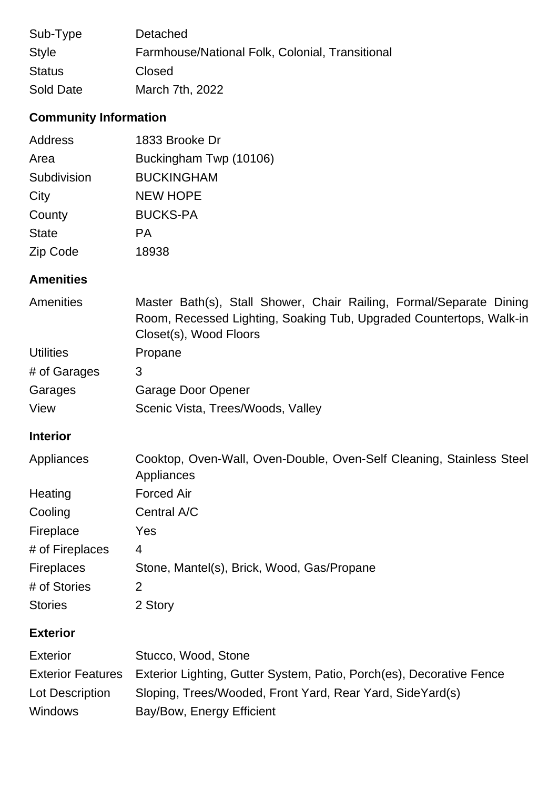| Sub-Type      | Detached                                        |
|---------------|-------------------------------------------------|
| <b>Style</b>  | Farmhouse/National Folk, Colonial, Transitional |
| <b>Status</b> | Closed                                          |
| Sold Date     | March 7th, 2022                                 |

## **Community Information**

| <b>Address</b> | 1833 Brooke Dr         |
|----------------|------------------------|
| Area           | Buckingham Twp (10106) |
| Subdivision    | <b>BUCKINGHAM</b>      |
| City           | <b>NEW HOPE</b>        |
| County         | <b>BUCKS-PA</b>        |
| <b>State</b>   | <b>PA</b>              |
| Zip Code       | 18938                  |

## **Amenities**

| <b>Amenities</b> | Master Bath(s), Stall Shower, Chair Railing, Formal/Separate Dining |
|------------------|---------------------------------------------------------------------|
|                  | Room, Recessed Lighting, Soaking Tub, Upgraded Countertops, Walk-in |
|                  | Closet(s), Wood Floors                                              |
| <b>Utilities</b> | Propane                                                             |
| # of Garages     | 3                                                                   |
| Garages          | Garage Door Opener                                                  |
| View             | Scenic Vista, Trees/Woods, Valley                                   |

## **Interior**

| Appliances        | Cooktop, Oven-Wall, Oven-Double, Oven-Self Cleaning, Stainless Steel<br>Appliances |
|-------------------|------------------------------------------------------------------------------------|
| Heating           | <b>Forced Air</b>                                                                  |
| Cooling           | Central A/C                                                                        |
| Fireplace         | Yes                                                                                |
| # of Fireplaces   | 4                                                                                  |
| <b>Fireplaces</b> | Stone, Mantel(s), Brick, Wood, Gas/Propane                                         |
| # of Stories      | 2                                                                                  |
| <b>Stories</b>    | 2 Story                                                                            |

## **Exterior**

| <b>Exterior</b> | Stucco, Wood, Stone                                                                    |
|-----------------|----------------------------------------------------------------------------------------|
|                 | Exterior Features Exterior Lighting, Gutter System, Patio, Porch(es), Decorative Fence |
| Lot Description | Sloping, Trees/Wooded, Front Yard, Rear Yard, SideYard(s)                              |
| <b>Windows</b>  | Bay/Bow, Energy Efficient                                                              |